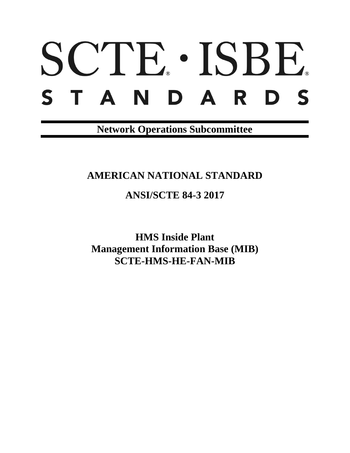# SCTE · ISBE. S T A N D A R D S

**Network Operations Subcommittee**

## **AMERICAN NATIONAL STANDARD**

## **ANSI/SCTE 84-3 2017**

**HMS Inside Plant Management Information Base (MIB) SCTE-HMS-HE-FAN-MIB**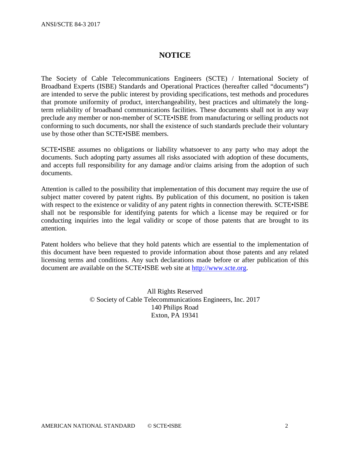#### **NOTICE**

The Society of Cable Telecommunications Engineers (SCTE) / International Society of Broadband Experts (ISBE) Standards and Operational Practices (hereafter called "documents") are intended to serve the public interest by providing specifications, test methods and procedures that promote uniformity of product, interchangeability, best practices and ultimately the longterm reliability of broadband communications facilities. These documents shall not in any way preclude any member or non-member of SCTE•ISBE from manufacturing or selling products not conforming to such documents, nor shall the existence of such standards preclude their voluntary use by those other than SCTE•ISBE members.

SCTE•ISBE assumes no obligations or liability whatsoever to any party who may adopt the documents. Such adopting party assumes all risks associated with adoption of these documents, and accepts full responsibility for any damage and/or claims arising from the adoption of such documents.

Attention is called to the possibility that implementation of this document may require the use of subject matter covered by patent rights. By publication of this document, no position is taken with respect to the existence or validity of any patent rights in connection therewith. SCTE•ISBE shall not be responsible for identifying patents for which a license may be required or for conducting inquiries into the legal validity or scope of those patents that are brought to its attention.

Patent holders who believe that they hold patents which are essential to the implementation of this document have been requested to provide information about those patents and any related licensing terms and conditions. Any such declarations made before or after publication of this document are available on the SCTE•ISBE web site at [http://www.scte.org.](http://www.scte.org/)

> All Rights Reserved © Society of Cable Telecommunications Engineers, Inc. 2017 140 Philips Road Exton, PA 19341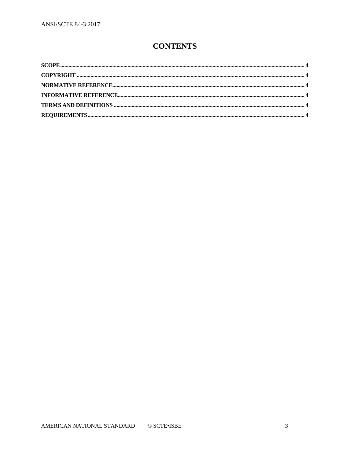### **CONTENTS**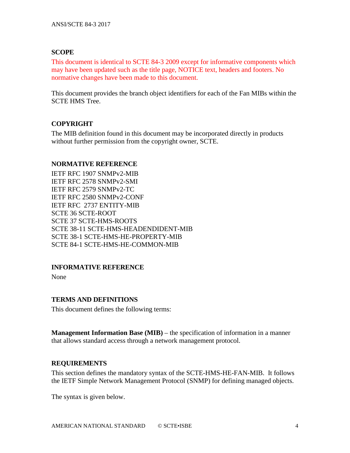#### <span id="page-3-0"></span>**SCOPE**

This document is identical to SCTE 84-3 2009 except for informative components which may have been updated such as the title page, NOTICE text, headers and footers. No normative changes have been made to this document.

This document provides the branch object identifiers for each of the Fan MIBs within the SCTE HMS Tree.

#### <span id="page-3-1"></span>**COPYRIGHT**

The MIB definition found in this document may be incorporated directly in products without further permission from the copyright owner, SCTE.

#### <span id="page-3-2"></span>**NORMATIVE REFERENCE**

IETF RFC 1907 SNMPv2-MIB IETF RFC 2578 SNMPv2-SMI IETF RFC 2579 SNMPv2-TC IETF RFC 2580 SNMPv2-CONF IETF RFC 2737 ENTITY-MIB SCTE 36 SCTE-ROOT SCTE 37 SCTE-HMS-ROOTS SCTE 38-11 SCTE-HMS-HEADENDIDENT-MIB SCTE 38-1 SCTE-HMS-HE-PROPERTY-MIB SCTE 84-1 SCTE-HMS-HE-COMMON-MIB

#### <span id="page-3-3"></span>**INFORMATIVE REFERENCE**

None

#### <span id="page-3-4"></span>**TERMS AND DEFINITIONS**

This document defines the following terms:

**Management Information Base (MIB)** – the specification of information in a manner that allows standard access through a network management protocol.

#### <span id="page-3-5"></span>**REQUIREMENTS**

This section defines the mandatory syntax of the SCTE-HMS-HE-FAN-MIB. It follows the IETF Simple Network Management Protocol (SNMP) for defining managed objects.

The syntax is given below.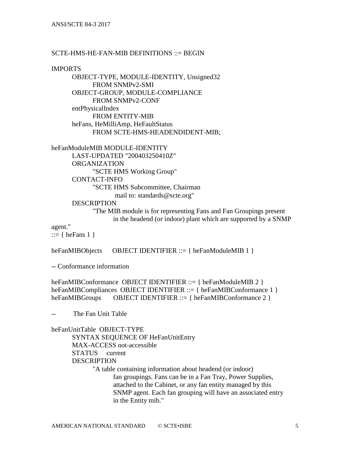#### $SCTE-HMS-HE-FAN-MIB$  DEFINITIONS  $\cdots$  BEGIN

IMPORTS

OBJECT-TYPE, MODULE-IDENTITY, Unsigned32 FROM SNMPv2-SMI OBJECT-GROUP, MODULE-COMPLIANCE FROM SNMPv2-CONF entPhysicalIndex FROM ENTITY-MIB heFans, HeMilliAmp, HeFaultStatus FROM SCTE-HMS-HEADENDIDENT-MIB;

heFanModuleMIB MODULE-IDENTITY LAST-UPDATED "200403250410Z" ORGANIZATION "SCTE HMS Working Group" CONTACT-INFO "SCTE HMS Subcommittee, Chairman mail to: standards@scte.org" DESCRIPTION

> "The MIB module is for representing Fans and Fan Groupings present in the headend (or indoor) plant which are supported by a SNMP

agent."

::=  $\{ \text{heFans } 1 \}$ 

heFanMIBObjects OBJECT IDENTIFIER ::= { heFanModuleMIB 1 }

-- Conformance information

heFanMIBConformance OBJECT IDENTIFIER ::= { heFanModuleMIB 2 } heFanMIBCompliances OBJECT IDENTIFIER ::= { heFanMIBConformance 1 } heFanMIBGroups OBJECT IDENTIFIER ::= { heFanMIBConformance 2 }

The Fan Unit Table

heFanUnitTable OBJECT-TYPE

SYNTAX SEQUENCE OF HeFanUnitEntry MAX-ACCESS not-accessible STATUS current DESCRIPTION "A table containing information about headend (or indoor) fan groupings. Fans can be in a Fan Tray, Power Supplies, attached to the Cabinet, or any fan entity managed by this SNMP agent. Each fan grouping will have an associated entry in the Entity mib."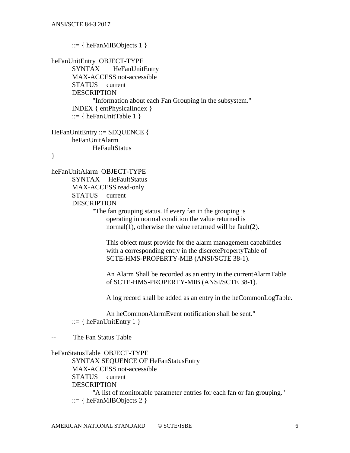```
 ::= \{ \text{ heFanMIBObjects } 1 \}heFanUnitEntry OBJECT-TYPE
SYNTAX HeFanUnitEntry
MAX-ACCESS not-accessible
STATUS current
DESCRIPTION 
       "Information about each Fan Grouping in the subsystem."
INDEX { entPhysicalIndex }
::= { heFanUnitTable 1 }
```

```
HeFanUnitEntry ::= SEQUENCE {
heFanUnitAlarm
      HeFaultStatus
```
}

heFanUnitAlarm OBJECT-TYPE SYNTAX HeFaultStatus MAX-ACCESS read-only STATUS current DESCRIPTION

"The fan grouping status. If every fan in the grouping is operating in normal condition the value returned is normal(1), otherwise the value returned will be fault(2).

 This object must provide for the alarm management capabilities with a corresponding entry in the discretePropertyTable of SCTE-HMS-PROPERTY-MIB (ANSI/SCTE 38-1).

 An Alarm Shall be recorded as an entry in the currentAlarmTable of SCTE-HMS-PROPERTY-MIB (ANSI/SCTE 38-1).

A log record shall be added as an entry in the heCommonLogTable.

 An heCommonAlarmEvent notification shall be sent."  $::= \{ \text{heFanUnitEntry 1} \}$ 

-- The Fan Status Table

```
heFanStatusTable OBJECT-TYPE
SYNTAX SEQUENCE OF HeFanStatusEntry
MAX-ACCESS not-accessible
STATUS current
DESCRIPTION 
       "A list of monitorable parameter entries for each fan or fan grouping."
 ::= \{ heFanMIBObjects 2 \}
```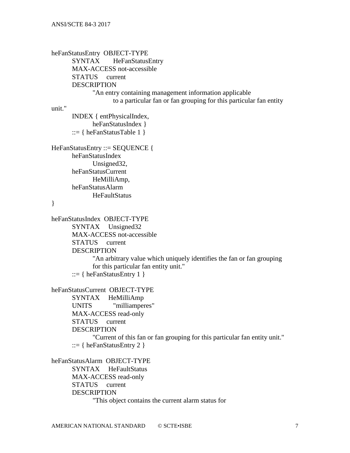heFanStatusEntry OBJECT-TYPE SYNTAX HeFanStatusEntry MAX-ACCESS not-accessible STATUS current DESCRIPTION "An entry containing management information applicable to a particular fan or fan grouping for this particular fan entity unit." INDEX { entPhysicalIndex, heFanStatusIndex } ::=  $\{ \text{heFanStatusTable 1} \}$ HeFanStatusEntry ::= SEQUENCE { heFanStatusIndex Unsigned32, heFanStatusCurrent HeMilliAmp, heFanStatusAlarm **HeFaultStatus** } heFanStatusIndex OBJECT-TYPE SYNTAX Unsigned32 MAX-ACCESS not-accessible STATUS current **DESCRIPTION** "An arbitrary value which uniquely identifies the fan or fan grouping for this particular fan entity unit." ::=  $\{ \text{heFanStatusEntry } 1 \}$ heFanStatusCurrent OBJECT-TYPE SYNTAX HeMilliAmp UNITS "milliamperes" MAX-ACCESS read-only STATUS current **DESCRIPTION** "Current of this fan or fan grouping for this particular fan entity unit."  $::= \{ \text{ heFanStatusEntry 2 } \}$ heFanStatusAlarm OBJECT-TYPE SYNTAX HeFaultStatus MAX-ACCESS read-only STATUS current **DESCRIPTION** 

"This object contains the current alarm status for